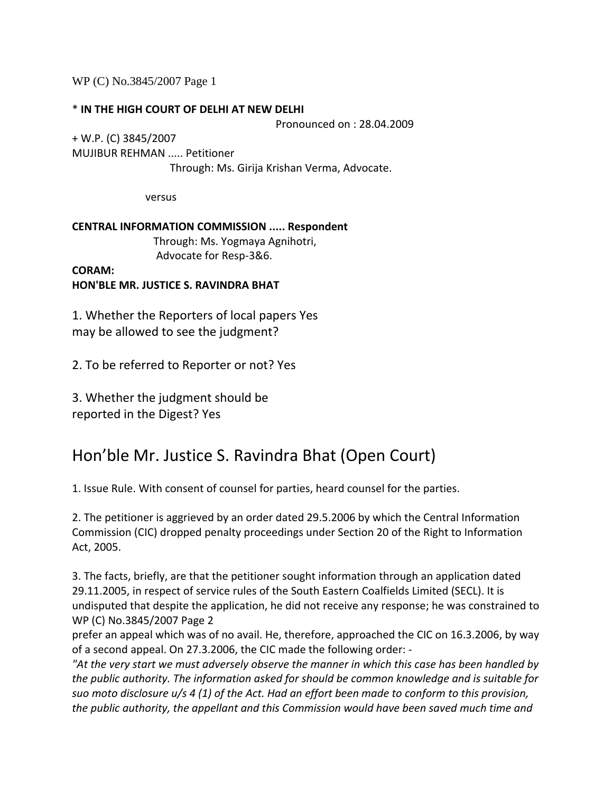WP (C) No.3845/2007 Page 1

### \* **IN THE HIGH COURT OF DELHI AT NEW DELHI**

Pronounced on : 28.04.2009

+ W.P. (C) 3845/2007 MUJIBUR REHMAN ..... Petitioner Through: Ms. Girija Krishan Verma, Advocate.

versus

**CENTRAL INFORMATION COMMISSION ..... Respondent** Through: Ms. Yogmaya Agnihotri, Advocate for Resp‐3&6.

**CORAM: HON'BLE MR. JUSTICE S. RAVINDRA BHAT**

1. Whether the Reporters of local papers Yes may be allowed to see the judgment?

2. To be referred to Reporter or not? Yes

3. Whether the judgment should be reported in the Digest? Yes

# Hon'ble Mr. Justice S. Ravindra Bhat (Open Court)

1. Issue Rule. With consent of counsel for parties, heard counsel for the parties.

2. The petitioner is aggrieved by an order dated 29.5.2006 by which the Central Information Commission (CIC) dropped penalty proceedings under Section 20 of the Right to Information Act, 2005.

3. The facts, briefly, are that the petitioner sought information through an application dated 29.11.2005, in respect of service rules of the South Eastern Coalfields Limited (SECL). It is undisputed that despite the application, he did not receive any response; he was constrained to WP (C) No.3845/2007 Page 2

prefer an appeal which was of no avail. He, therefore, approached the CIC on 16.3.2006, by way of a second appeal. On 27.3.2006, the CIC made the following order: ‐

*"At the very start we must adversely observe the manner in which this case has been handled by the public authority. The information asked for should be common knowledge and is suitable for* suo moto disclosure  $u/s$  4 (1) of the Act. Had an effort been made to conform to this provision, *the public authority, the appellant and this Commission would have been saved much time and*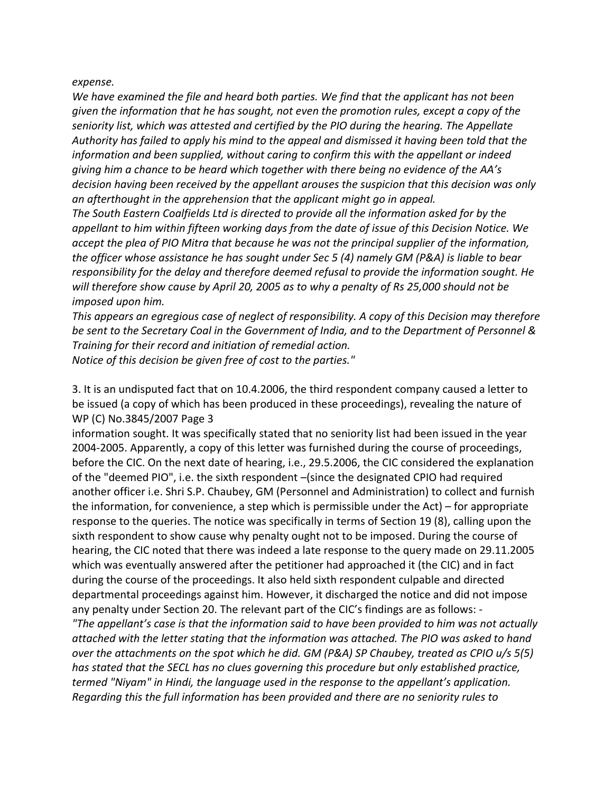#### $expense.$

*We have examined the file and heard both parties. We find that the applicant has not been given the information that he has sought, not even the promotion rules, except a copy of the seniority list, which was attested and certified by the PIO during the hearing. The Appellate Authority has failed to apply his mind to the appeal and dismissed it having been told that the information and been supplied, without caring to confirm this with the appellant or indeed giving him a chance to be heard which together with there being no evidence of the AA's decision having been received by the appellant arouses the suspicion that this decision was only an afterthought in the apprehension that the applicant might go in appeal.* 

*The South Eastern Coalfields Ltd is directed to provide all the information asked for by the appellant to him within fifteen working days from the date of issue of this Decision Notice. We accept the plea of PIO Mitra that because he was not the principal supplier of the information, the officer whose assistance he has sought under Sec 5 (4) namely GM (P&A) is liable to bear responsibility for the delay and therefore deemed refusal to provide the information sought. He will therefore show cause by April 20, 2005 as to why a penalty of Rs 25,000 should not be imposed upon him.* 

*This appears an egregious case of neglect of responsibility. A copy of this Decision may therefore be sent to the Secretary Coal in the Government of India, and to the Department of Personnel & Training for their record and initiation of remedial action. Notice of this decision be given free of cost to the parties."* 

3. It is an undisputed fact that on 10.4.2006, the third respondent company caused a letter to be issued (a copy of which has been produced in these proceedings), revealing the nature of WP (C) No.3845/2007 Page 3

information sought. It was specifically stated that no seniority list had been issued in the year 2004‐2005. Apparently, a copy of this letter was furnished during the course of proceedings, before the CIC. On the next date of hearing, i.e., 29.5.2006, the CIC considered the explanation of the "deemed PIO", i.e. the sixth respondent –(since the designated CPIO had required another officer i.e. Shri S.P. Chaubey, GM (Personnel and Administration) to collect and furnish the information, for convenience, a step which is permissible under the Act) – for appropriate response to the queries. The notice was specifically in terms of Section 19 (8), calling upon the sixth respondent to show cause why penalty ought not to be imposed. During the course of hearing, the CIC noted that there was indeed a late response to the query made on 29.11.2005 which was eventually answered after the petitioner had approached it (the CIC) and in fact during the course of the proceedings. It also held sixth respondent culpable and directed departmental proceedings against him. However, it discharged the notice and did not impose any penalty under Section 20. The relevant part of the CIC's findings are as follows: ‐ *"The appellant's case is that the information said to have been provided to him was not actually attached with the letter stating that the information was attached. The PIO was asked to hand over the attachments on the spot which he did. GM (P&A) SP Chaubey, treated as CPIO u/s 5(5) has stated that the SECL has no clues governing this procedure but only established practice, termed "Niyam" in Hindi, the language used in the response to the appellant's application. Regarding this the full information has been provided and there are no seniority rules to*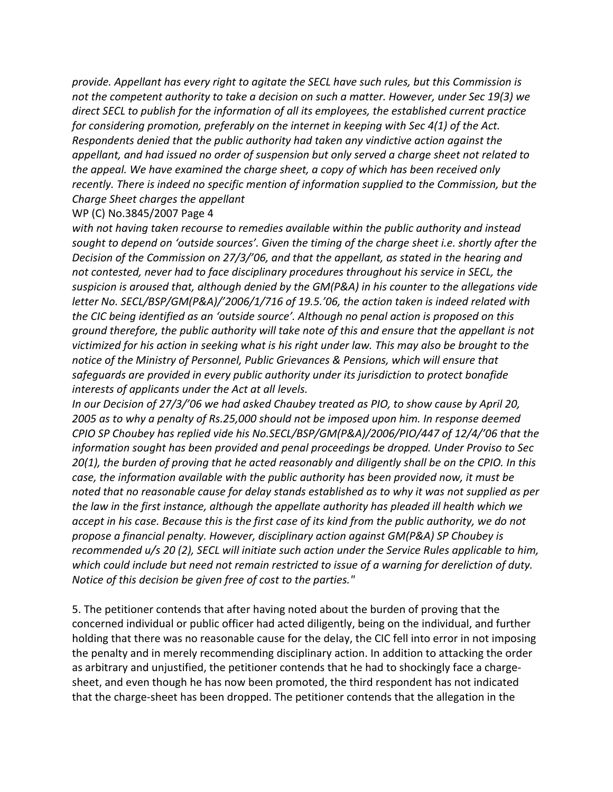*provide. Appellant has every right to agitate the SECL have such rules, but this Commission is not the competent authority to take a decision on such a matter. However, under Sec 19(3) we direct SECL to publish for the information of all its employees, the established current practice for considering promotion, preferably on the internet in keeping with Sec 4(1) of the Act. Respondents denied that the public authority had taken any vindictive action against the appellant, and had issued no order of suspension but only served a charge sheet not related to the appeal. We have examined the charge sheet, a copy of which has been received only recently. There is indeed no specific mention of information supplied to the Commission, but the Charge Sheet charges the appellant* 

### WP (C) No.3845/2007 Page 4

*with not having taken recourse to remedies available within the public authority and instead sought to depend on 'outside sources'. Given the timing of the charge sheet i.e. shortly after the Decision of the Commission on 27/3/'06, and that the appellant, as stated in the hearing and not contested, never had to face disciplinary procedures throughout his service in SECL, the suspicion is aroused that, although denied by the GM(P&A) in his counter to the allegations vide letter No. SECL/BSP/GM(P&A)/'2006/1/716 of 19.5.'06, the action taken is indeed related with the CIC being identified as an 'outside source'. Although no penal action is proposed on this ground therefore, the public authority will take note of this and ensure that the appellant is not* victimized for his action in seeking what is his right under law. This may also be brought to the *notice of the Ministry of Personnel, Public Grievances & Pensions, which will ensure that safeguards are provided in every public authority under its jurisdiction to protect bonafide interests of applicants under the Act at all levels.* 

*In our Decision of 27/3/'06 we had asked Chaubey treated as PIO, to show cause by April 20, 2005 as to why a penalty of Rs.25,000 should not be imposed upon him. In response deemed CPIO SP Choubey has replied vide his No.SECL/BSP/GM(P&A)/2006/PIO/447 of 12/4/'06 that the information sought has been provided and penal proceedings be dropped. Under Proviso to Sec 20(1), the burden of proving that he acted reasonably and diligently shall be on the CPIO. In this case, the information available with the public authority has been provided now, it must be noted that no reasonable cause for delay stands established as to why it was not supplied as per the law in the first instance, although the appellate authority has pleaded ill health which we* accept in his case. Because this is the first case of its kind from the public authority, we do not *propose a financial penalty. However, disciplinary action against GM(P&A) SP Choubey is recommended u/s 20 (2), SECL will initiate such action under the Service Rules applicable to him, which could include but need not remain restricted to issue of a warning for dereliction of duty. Notice of this decision be given free of cost to the parties."* 

5. The petitioner contends that after having noted about the burden of proving that the concerned individual or public officer had acted diligently, being on the individual, and further holding that there was no reasonable cause for the delay, the CIC fell into error in not imposing the penalty and in merely recommending disciplinary action. In addition to attacking the order as arbitrary and unjustified, the petitioner contends that he had to shockingly face a charge‐ sheet, and even though he has now been promoted, the third respondent has not indicated that the charge‐sheet has been dropped. The petitioner contends that the allegation in the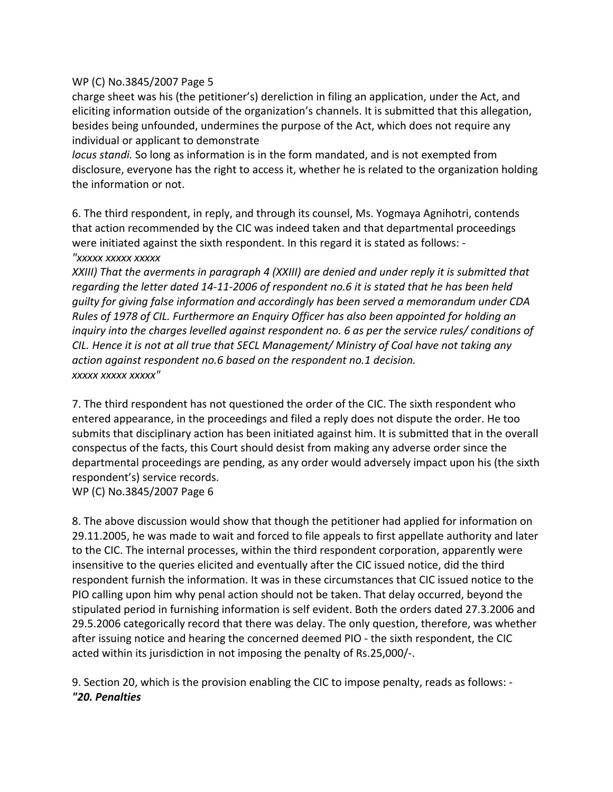## WP (C) No.3845/2007 Page 5

charge sheet was his (the petitioner's) dereliction in filing an application, under the Act, and eliciting information outside of the organization's channels. It is submitted that this allegation, besides being unfounded, undermines the purpose of the Act, which does not require any individual or applicant to demonstrate

*locus standi.* So long as information is in the form mandated, and is not exempted from disclosure, everyone has the right to access it, whether he is related to the organization holding the information or not.

6. The third respondent, in reply, and through its counsel, Ms. Yogmaya Agnihotri, contends that action recommended by the CIC was indeed taken and that departmental proceedings were initiated against the sixth respondent. In this regard it is stated as follows: -

## *"xxxxx xxxxx xxxxx*

*XXIII) That the averments in paragraph 4 (XXIII) are denied and under reply it is submitted that* regarding the letter dated 14-11-2006 of respondent no.6 it is stated that he has been held *guilty for giving false information and accordingly has been served a memorandum under CDA Rules of 1978 of CIL. Furthermore an Enquiry Officer has also been appointed for holding an inquiry into the charges levelled against respondent no. 6 as per the service rules/ conditions of CIL. Hence it is not at all true that SECL Management/ Ministry of Coal have not taking any action against respondent no.6 based on the respondent no.1 decision. xxxxx xxxxx xxxxx"* 

7. The third respondent has not questioned the order of the CIC. The sixth respondent who entered appearance, in the proceedings and filed a reply does not dispute the order. He too submits that disciplinary action has been initiated against him. It is submitted that in the overall conspectus of the facts, this Court should desist from making any adverse order since the departmental proceedings are pending, as any order would adversely impact upon his (the sixth respondent's) service records. WP (C) No.3845/2007 Page 6

8. The above discussion would show that though the petitioner had applied for information on 29.11.2005, he was made to wait and forced to file appeals to first appellate authority and later to the CIC. The internal processes, within the third respondent corporation, apparently were insensitive to the queries elicited and eventually after the CIC issued notice, did the third respondent furnish the information. It was in these circumstances that CIC issued notice to the PIO calling upon him why penal action should not be taken. That delay occurred, beyond the stipulated period in furnishing information is self evident. Both the orders dated 27.3.2006 and 29.5.2006 categorically record that there was delay. The only question, therefore, was whether after issuing notice and hearing the concerned deemed PIO ‐ the sixth respondent, the CIC acted within its jurisdiction in not imposing the penalty of Rs.25,000/‐.

9. Section 20, which is the provision enabling the CIC to impose penalty, reads as follows: ‐ *"20. Penalties*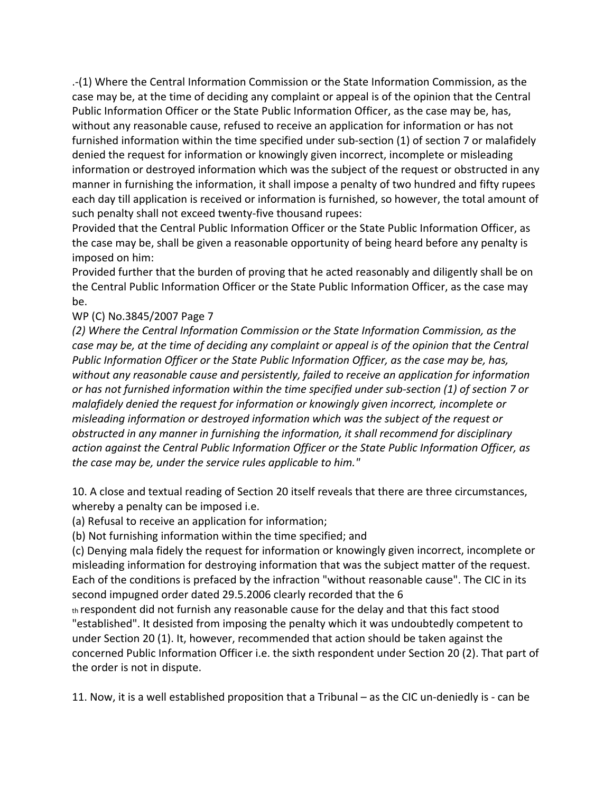.‐(1) Where the Central Information Commission or the State Information Commission, as the case may be, at the time of deciding any complaint or appeal is of the opinion that the Central Public Information Officer or the State Public Information Officer, as the case may be, has, without any reasonable cause, refused to receive an application for information or has not furnished information within the time specified under sub-section (1) of section 7 or malafidely denied the request for information or knowingly given incorrect, incomplete or misleading information or destroyed information which was the subject of the request or obstructed in any manner in furnishing the information, it shall impose a penalty of two hundred and fifty rupees each day till application is received or information is furnished, so however, the total amount of such penalty shall not exceed twenty-five thousand rupees:

Provided that the Central Public Information Officer or the State Public Information Officer, as the case may be, shall be given a reasonable opportunity of being heard before any penalty is imposed on him:

Provided further that the burden of proving that he acted reasonably and diligently shall be on the Central Public Information Officer or the State Public Information Officer, as the case may be.

## WP (C) No.3845/2007 Page 7

*(2) Where the Central Information Commission or the State Information Commission, as the* case may be, at the time of deciding any complaint or appeal is of the opinion that the Central *Public Information Officer or the State Public Information Officer, as the case may be, has, without any reasonable cause and persistently, failed to receive an application for information or has not furnished information within the time specified under sub‐section (1) of section 7 or malafidely denied the request for information or knowingly given incorrect, incomplete or misleading information or destroyed information which was the subject of the request or obstructed in any manner in furnishing the information, it shall recommend for disciplinary action against the Central Public Information Officer or the State Public Information Officer, as the case may be, under the service rules applicable to him."* 

10. A close and textual reading of Section 20 itself reveals that there are three circumstances, whereby a penalty can be imposed i.e.

(a) Refusal to receive an application for information;

(b) Not furnishing information within the time specified; and

(c) Denying mala fidely the request for information or knowingly given incorrect, incomplete or misleading information for destroying information that was the subject matter of the request. Each of the conditions is prefaced by the infraction "without reasonable cause". The CIC in its second impugned order dated 29.5.2006 clearly recorded that the 6

th respondent did not furnish any reasonable cause for the delay and that this fact stood "established". It desisted from imposing the penalty which it was undoubtedly competent to under Section 20 (1). It, however, recommended that action should be taken against the concerned Public Information Officer i.e. the sixth respondent under Section 20 (2). That part of the order is not in dispute.

11. Now, it is a well established proposition that a Tribunal – as the CIC un‐deniedly is ‐ can be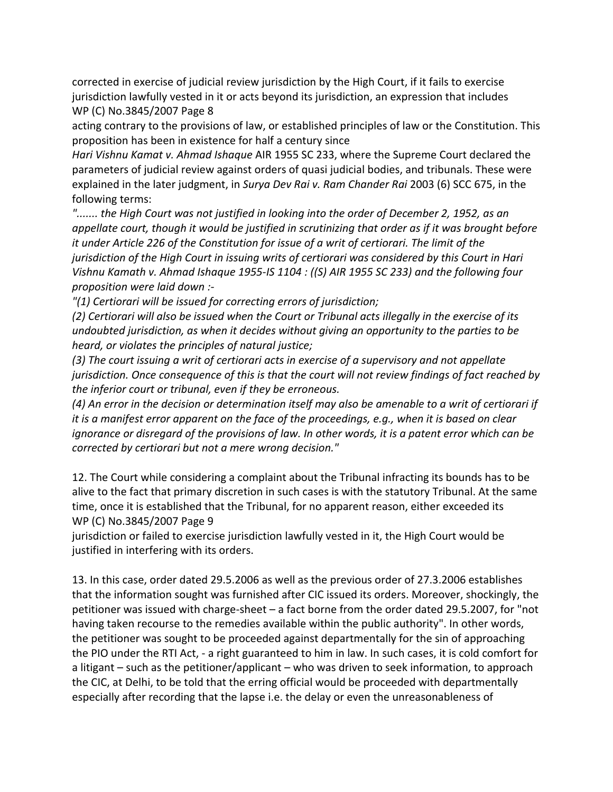corrected in exercise of judicial review jurisdiction by the High Court, if it fails to exercise jurisdiction lawfully vested in it or acts beyond its jurisdiction, an expression that includes WP (C) No.3845/2007 Page 8

acting contrary to the provisions of law, or established principles of law or the Constitution. This proposition has been in existence for half a century since

*Hari Vishnu Kamat v. Ahmad Ishaque* AIR 1955 SC 233, where the Supreme Court declared the parameters of judicial review against orders of quasi judicial bodies, and tribunals. These were explained in the later judgment, in *Surya Dev Rai v. Ram Chander Rai* 2003 (6) SCC 675, in the following terms:

*"....... the High Court was not justified in looking into the order of December 2, 1952, as an appellate court, though it would be justified in scrutinizing that order as if it was brought before it under Article 226 of the Constitution for issue of a writ of certiorari. The limit of the jurisdiction of the High Court in issuing writs of certiorari was considered by this Court in Hari Vishnu Kamath v. Ahmad Ishaque 1955‐IS 1104 : ((S) AIR 1955 SC 233) and the following four proposition were laid down :‐* 

*"(1) Certiorari will be issued for correcting errors of jurisdiction;* 

(2) Certiorari will also be issued when the Court or Tribunal acts illegally in the exercise of its *undoubted jurisdiction, as when it decides without giving an opportunity to the parties to be heard, or violates the principles of natural justice;* 

*(3) The court issuing a writ of certiorari acts in exercise of a supervisory and not appellate jurisdiction. Once consequence of this is that the court will not review findings of fact reached by the inferior court or tribunal, even if they be erroneous.* 

(4) An error in the decision or determination itself may also be amenable to a writ of certiorari if it is a manifest error apparent on the face of the proceedings, e.g., when it is based on clear ignorance or disregard of the provisions of law. In other words, it is a patent error which can be *corrected by certiorari but not a mere wrong decision."* 

12. The Court while considering a complaint about the Tribunal infracting its bounds has to be alive to the fact that primary discretion in such cases is with the statutory Tribunal. At the same time, once it is established that the Tribunal, for no apparent reason, either exceeded its WP (C) No.3845/2007 Page 9

jurisdiction or failed to exercise jurisdiction lawfully vested in it, the High Court would be justified in interfering with its orders.

13. In this case, order dated 29.5.2006 as well as the previous order of 27.3.2006 establishes that the information sought was furnished after CIC issued its orders. Moreover, shockingly, the petitioner was issued with charge‐sheet – a fact borne from the order dated 29.5.2007, for "not having taken recourse to the remedies available within the public authority". In other words, the petitioner was sought to be proceeded against departmentally for the sin of approaching the PIO under the RTI Act, ‐ a right guaranteed to him in law. In such cases, it is cold comfort for a litigant – such as the petitioner/applicant – who was driven to seek information, to approach the CIC, at Delhi, to be told that the erring official would be proceeded with departmentally especially after recording that the lapse i.e. the delay or even the unreasonableness of